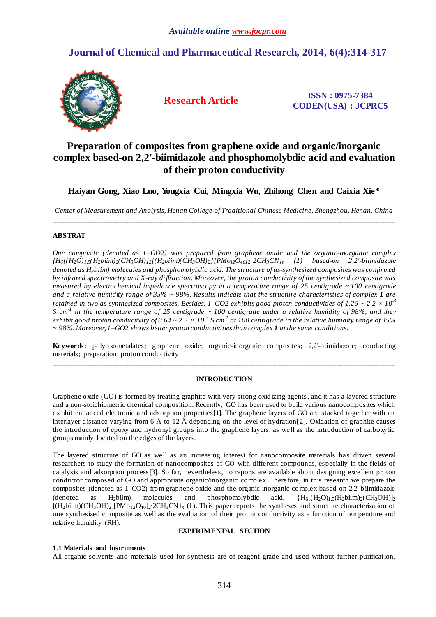# **Journal of Chemical and Pharmaceutical Research, 2014, 6(4):314-317**



**Research Article ISSN : 0975-7384 CODEN(USA) : JCPRC5**

# **Preparation of composites from graphene oxide and organic/inorganic complex based-on 2,2'-biimidazole and phosphomolybdic acid and evaluation of their proton conductivity**

**Haiyan Gong, Xiao Luo, Yongxia Cui, Mingxia Wu, Zhihong Chen and Caixia Xie\***

*Center of Measurement and Analysis, Henan College of Traditional Chinese Medicine, Zhengzhou, Henan, China* \_\_\_\_\_\_\_\_\_\_\_\_\_\_\_\_\_\_\_\_\_\_\_\_\_\_\_\_\_\_\_\_\_\_\_\_\_\_\_\_\_\_\_\_\_\_\_\_\_\_\_\_\_\_\_\_\_\_\_\_\_\_\_\_\_\_\_\_\_\_\_\_\_\_\_\_\_\_\_\_\_\_\_\_\_\_\_\_\_\_\_\_\_

# **ABSTRAT**

*One composite (denoted as 1–GO2) was prepared from graphene oxide and the organic-inorganic complex*   $(H_6[(H_2O)_{1.5}(H_2b\ddot{u}m)_2(CH_3OH)]_2[(H_2biim)(CH_3OH)_2][PMo_{12}O_{40}]_2.2CH_3CN)_n$  (1) based-on 2,2'-biimidazole *denoted as H2biim) molecules and phosphomolybdic acid. The structure of as-synthesized composites was confirmed by infrared spectrometry and X-ray diffraction. Moreover, the proton conductivity of the synthesized composite was measured by electrochemical impedance spectroscopy in a temperature range of 25 centigrade ~ 100 centigrade and a relative humidity range of 35% ~ 98%. Results indicate that the structure characteristics of complex 1 are retained in two as-synthesized composites. Besides, 1–GO2 exhibits good proton conductivities of*  $1.26 \approx 2.2 \times 10^{3}$ *S cm-1 in the temperature range of 25 centigrade ~ 100 centigrade under a relative humidity of 98%; and they*  exhibit good proton conductivity of  $0.64\sim$  2.2  $\times$  10<sup>-3</sup> S cm<sup>-1</sup> at 100 centigrade in the relative humidity range of 35% *~ 98%. Moreover, 1–GO2 shows better proton conductivities than complex 1 at the same conditions.*

**Keywords:** polyoxometalates; graphene oxide; organic-inorganic composites; 2,2'-biimidazole; conducting materials; preparation; proton conductivity \_\_\_\_\_\_\_\_\_\_\_\_\_\_\_\_\_\_\_\_\_\_\_\_\_\_\_\_\_\_\_\_\_\_\_\_\_\_\_\_\_\_\_\_\_\_\_\_\_\_\_\_\_\_\_\_\_\_\_\_\_\_\_\_\_\_\_\_\_\_\_\_\_\_\_\_\_\_\_\_\_\_\_\_\_\_\_\_\_\_\_\_\_

## **INTRODUCTION**

Graphene oxide (GO) is formed by treating graphite with very strong oxidizing agents, and it has a layered structure and a non-stoichiometric chemical composition. Recently, GO has been used to build various nanocomposites which exhibit enhanced electronic and adsorption properties[1]. The graphene layers of GO are stacked together with an interlayer distance varying from 6 Å to 12 Å depending on the level of hydration[2]. Oxidation of graphite causes the introduction of epoxy and hydroxyl groups into the graphene layers, as well as the introduction of carboxylic groups mainly located on the edges of the layers.

The layered structure of GO as well as an increasing interest for nanocomposite materials has driven several researchers to study the formation of nanocomposites of GO with different compounds, especially in the fields of catalysis and adsorption process[3]. So far, nevertheless, no reports are available about designing excellent proton conductor composed of GO and appropriate organic/inorganic complex. Therefore, in this research we prepare the composites (denoted as 1–GO2) from graphene oxide and the organic-inorganic complex based-on 2,2'-biimidazole (denoted as H<sub>2</sub>biim) molecules and phosphomolybdic acid,  $\{H_6[(H_2O)_1,(H_2OH)_2(CH_3OH)]_2\}$  $[(H_2biim)(CH_3OH)_2][PMo_{12}O_40]_2$ <sup>.</sup> 2CH<sub>3</sub>CN}<sub>n</sub> (1). This paper reports the syntheses and structure characterization of one synthesized composite as well as the evaluation of their proton conductivity as a function of temperature and relative humidity (RH).

## **EXPERIMENTAL SECTION**

## **1.1 Materials and instruments**

All organic solvents and materials used for synthesis are of reagent grade and used without further purification.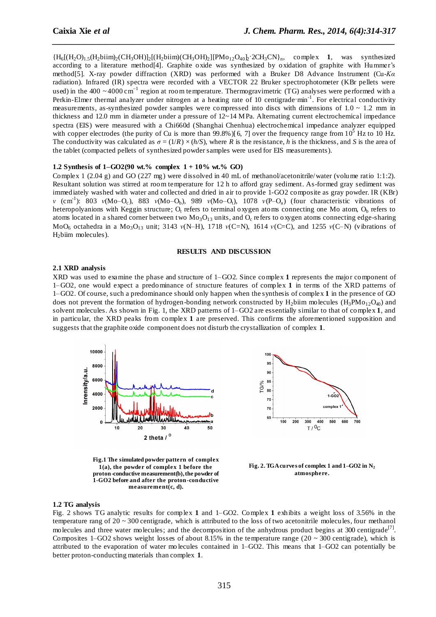${H_6}[(H_2O)_{1.5}(H_2biim)_{2}(CH_3OH)]_{2}[(H_2biim)(CH_3OH)_{2}][PMo_{12}O_{40}b_{2}^{\text{-}}2CH_3CN]_n$ , complex 1, was synthesized according to a literature method[4]. Graphite oxide was synthesized by oxidation of graphite with Hummer's method[5]. X-ray powder diffraction (XRD) was performed with a Bruker D8 Advance Instrument (Cu-*Kα* radiation). Infrared (IR) spectra were recorded with a VECTOR 22 Bruker spectrophotometer (KBr pellets were used) in the 400 ~4000 cm<sup>-1</sup> region at room temperature. Thermogravimetric (TG) analyses were performed with a Perkin-Elmer thermal analyzer under nitrogen at a heating rate of 10 centigrade min<sup>-1</sup>. For electrical conductivity measurements, as-synthesized powder samples were compressed into discs with dimensions of  $1.0 \sim 1.2$  mm in thickness and 12.0 mm in diameter under a pressure of 12~14 MPa. Alternating current electrochemical impedance spectra (EIS) were measured with a Chi660d (Shanghai Chenhua) electrochemical impedance analyzer equipped with copper electrodes (the purity of Cu is more than 99.8%)[6, 7] over the frequency range from  $10^5$  Hz to 10 Hz. The conductivity was calculated as  $\sigma = (1/R) \times (h/S)$ , where *R* is the resistance, *h* is the thickness, and *S* is the area of the tablet (compacted pellets of synthesized powder samples were used for EIS measurements).

*\_\_\_\_\_\_\_\_\_\_\_\_\_\_\_\_\_\_\_\_\_\_\_\_\_\_\_\_\_\_\_\_\_\_\_\_\_\_\_\_\_\_\_\_\_\_\_\_\_\_\_\_\_\_\_\_\_\_\_\_\_\_\_\_\_\_\_\_\_\_\_\_\_\_\_\_\_\_*

## **1.2 Synthesis of 1–GO2(90 wt.% complex 1 + 10% wt.% GO)**

Complex 1 (2.04 g) and GO (227 mg) were dissolved in 40 mL of methanol/acetonitrile/water (volume ratio 1:1:2). Resultant solution was stirred at room temperature for 12 h to afford gray sediment. As-formed gray sediment was immediately washed with water and collected and dried in air to provide 1-GO2 composite as gray powder. IR (KBr) *ν* (cm<sup>-1</sup>): 803 *ν*(Mo–O<sub>c</sub>), 883 *ν*(Mo–O<sub>b</sub>), 989 *ν*(Mo–O<sub>t</sub>), 1078 *ν*(P–O<sub>a</sub>) (four characteristic vibrations of heteropolyanions with Keggin structure;  $O_t$  refers to terminal oxygen atoms connecting one Mo atom,  $O_b$  refers to atoms located in a shared corner between two  $Mo<sub>3</sub>O<sub>13</sub>$  units, and  $O<sub>c</sub>$  refers to oxygen atoms connecting edge-sharing MoO<sup>6</sup> octahedra in a Mo3O<sup>13</sup> unit; 3143 *ν*(N–H), 1718 *ν*(C=N), 1614 *ν*(C=C), and 1255 *ν*(C–N) (vibrations of H<sub>2</sub>biim molecules).

#### **RESULTS AND DISCUSSION**

## **2.1 XRD analysis**

XRD was used to examine the phase and structure of 1–GO2. Since complex **1** represents the major component of 1–GO2, one would expect a predominance of structure features of complex **1** in terms of the XRD patterns of 1–GO2. Of course, such a predominance should only happen when the synthesis of complex **1** in the presence of GO does not prevent the formation of hydrogen-bonding network constructed by H<sub>2</sub>biim molecules (H<sub>3</sub>PM<sub>012</sub>O<sub>40</sub>) and solvent molecules. As shown in Fig. 1, the XRD patterns of 1–GO2 are essentially similar to that of complex **1**, and in particular, the XRD peaks from complex **1** are preserved. This confirms the aforementioned supposition and suggests that the graphite oxide component does not disturb the crystallization of complex **1**.



**Fig.1 The simulated powder pattern of complex 1(a), the powder of complex 1 before the proton-conductive measurement(b), the powder of 1-GO2 before and after the proton-conductive measurement(c, d).**



**Fig. 2. TGA curve s of complex 1 and 1–GO2 in N<sup>2</sup> atmosphere.**

#### **1.2 TG analysis**

Fig. 2 shows TG analytic results for complex **1** and 1–GO2. Complex **1** exhibits a weight loss of 3.56% in the temperature rang of 20 ~ 300 centigrade, which is attributed to the loss of two acetonitrile molecules, four methanol molecules and three water molecules; and the decomposition of the anhydrous product begins at 300 centigrade<sup>[7]</sup>. Composites 1–GO2 shows weight losses of about 8.15% in the temperature range  $(20 \sim 300 \text{ centigrade})$ , which is attributed to the evaporation of water mo lecules contained in 1–GO2. This means that 1–GO2 can potentially be better proton-conducting materials than complex **1**.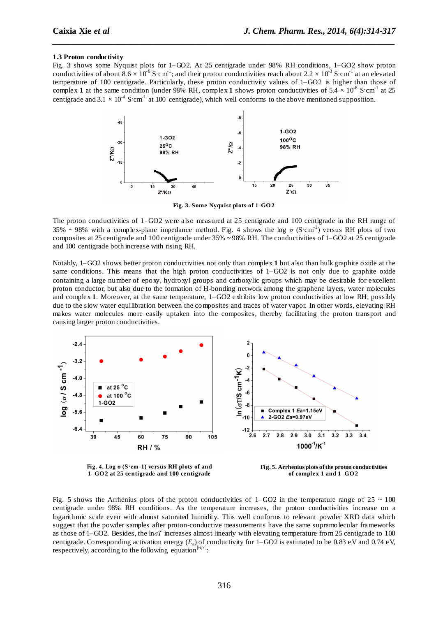#### **1.3 Proton conductivity**

Fig. 3 shows some Nyquist plots for 1–GO2. At 25 centigrade under 98% RH conditions, 1–GO2 show proton conductivities of about 8.6  $\times 10^{-6}$  S·cm<sup>-1</sup>; and their proton conductivities reach about 2.2  $\times 10^{-3}$  S·cm<sup>-1</sup> at an elevated temperature of 100 centigrade. Particularly, these proton conductivity values of 1–GO2 is higher than those of complex 1 at the same condition (under 98% RH, complex 1 shows proton conductivities of  $5.4 \times 10^{-8}$  S·cm<sup>-1</sup> at 25 centigrade and  $3.1 \times 10^{-4}$  S·cm<sup>-1</sup> at 100 centigrade), which well conforms to the above mentioned supposition.

*\_\_\_\_\_\_\_\_\_\_\_\_\_\_\_\_\_\_\_\_\_\_\_\_\_\_\_\_\_\_\_\_\_\_\_\_\_\_\_\_\_\_\_\_\_\_\_\_\_\_\_\_\_\_\_\_\_\_\_\_\_\_\_\_\_\_\_\_\_\_\_\_\_\_\_\_\_\_*



**Fig. 3. Some Nyquist plots of 1-GO 2**

The proton conductivities of 1–GO2 were also measured at 25 centigrade and 100 centigrade in the RH range of 35% ~ 98% with a complex-plane impedance method. Fig. 4 shows the log  $\sigma$  (S $\text{cm}^{-1}$ ) versus RH plots of two composites at 25 centigrade and 100 centigrade under 35% ~ 98% RH. The conductivities of 1–GO2 at 25 centigrade and 100 centigrade both increase with rising RH.

Notably, 1–GO2 shows better proton conductivities not only than complex **1** but also than bulk graphite oxide at the same conditions. This means that the high proton conductivities of  $1-\text{GO2}$  is not only due to graphite oxide containing a large number of epoxy, hydroxyl groups and carboxylic groups which may be desirable for excellent proton conductor, but also due to the formation of H-bonding network among the graphene layers, water molecules and complex **1**. Moreover, at the same temperature, 1–GO2 exhibits low proton conductivities at low RH, possibly due to the slow water equilibration between the composites and traces of water vapor. In other words, elevating RH makes water molecules more easily uptaken into the composites, thereby facilitating the proton transport and causing larger proton conductivities.



**Fig. 4. Log σ (S·cm-1) versus RH plots of and 1–GO 2 at 25 centigrade and 100 centigrade**

**Fig. 5. Arrhenius plots of the proton conductivities of complex 1 and 1–GO 2**

Fig. 5 shows the Arrhenius plots of the proton conductivities of 1–GO2 in the temperature range of  $25 \sim 100$ centigrade under 98% RH conditions. As the temperature increases, the proton conductivities increase on a logarithmic scale even with almost saturated humidity. This well conforms to relevant powder XRD data which suggest that the powder samples after proton-conductive measurements have the same supramolecular frameworks as those of 1–GO2. Besides, the ln*σΤ* increases almost linearly with elevating temperature from 25 centigrade to 100 centigrade. Corresponding activation energy  $(E_a)$  of conductivity for 1–GO2 is estimated to be 0.83 eV and 0.74 eV, respectively, according to the following equation<sup>[6,7]</sup>: